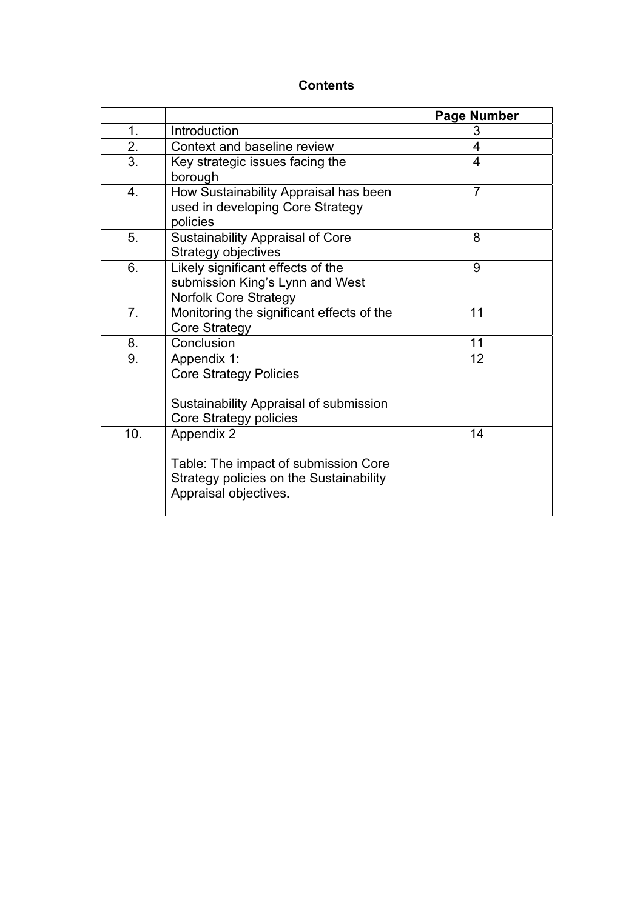# **Contents**

|     |                                                                                                                        | <b>Page Number</b> |
|-----|------------------------------------------------------------------------------------------------------------------------|--------------------|
| 1.  | Introduction                                                                                                           | 3                  |
| 2.  | Context and baseline review                                                                                            | 4                  |
| 3.  | Key strategic issues facing the<br>borough                                                                             | 4                  |
| 4.  | How Sustainability Appraisal has been<br>used in developing Core Strategy<br>policies                                  | $\overline{7}$     |
| 5.  | <b>Sustainability Appraisal of Core</b><br>Strategy objectives                                                         | 8                  |
| 6.  | Likely significant effects of the<br>submission King's Lynn and West<br><b>Norfolk Core Strategy</b>                   | 9                  |
| 7.  | Monitoring the significant effects of the<br><b>Core Strategy</b>                                                      | 11                 |
| 8.  | Conclusion                                                                                                             | 11                 |
| 9.  | Appendix 1:<br><b>Core Strategy Policies</b><br>Sustainability Appraisal of submission                                 | 12                 |
|     | Core Strategy policies                                                                                                 |                    |
| 10. | Appendix 2<br>Table: The impact of submission Core<br>Strategy policies on the Sustainability<br>Appraisal objectives. | 14                 |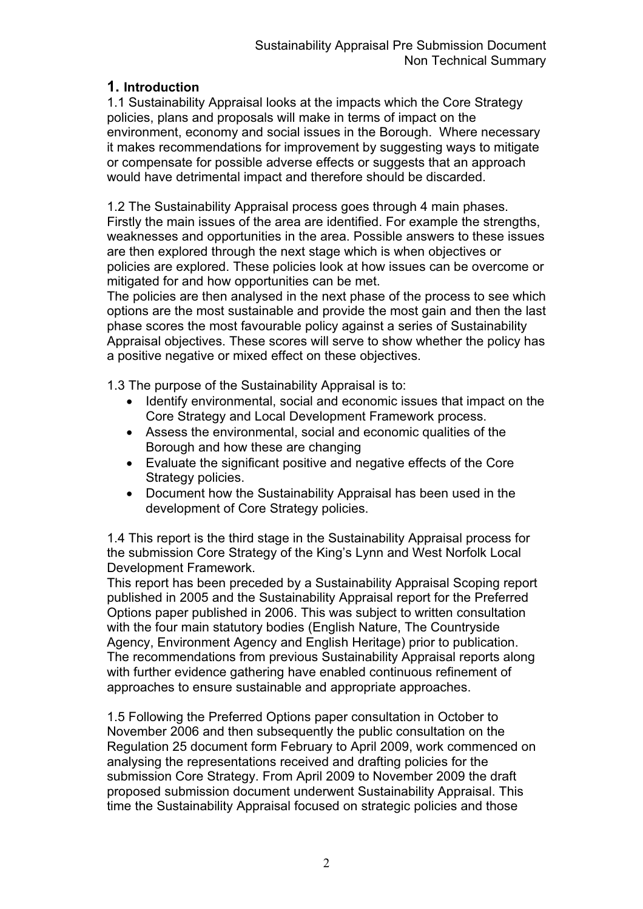# **1. Introduction**

1.1 Sustainability Appraisal looks at the impacts which the Core Strategy policies, plans and proposals will make in terms of impact on the environment, economy and social issues in the Borough. Where necessary it makes recommendations for improvement by suggesting ways to mitigate or compensate for possible adverse effects or suggests that an approach would have detrimental impact and therefore should be discarded.

1.2 The Sustainability Appraisal process goes through 4 main phases. Firstly the main issues of the area are identified. For example the strengths, weaknesses and opportunities in the area. Possible answers to these issues are then explored through the next stage which is when objectives or policies are explored. These policies look at how issues can be overcome or mitigated for and how opportunities can be met.

The policies are then analysed in the next phase of the process to see which options are the most sustainable and provide the most gain and then the last phase scores the most favourable policy against a series of Sustainability Appraisal objectives. These scores will serve to show whether the policy has a positive negative or mixed effect on these objectives.

1.3 The purpose of the Sustainability Appraisal is to:

- Identify environmental, social and economic issues that impact on the Core Strategy and Local Development Framework process.
- Assess the environmental, social and economic qualities of the Borough and how these are changing
- Evaluate the significant positive and negative effects of the Core Strategy policies.
- Document how the Sustainability Appraisal has been used in the development of Core Strategy policies.

1.4 This report is the third stage in the Sustainability Appraisal process for the submission Core Strategy of the King's Lynn and West Norfolk Local Development Framework.

This report has been preceded by a Sustainability Appraisal Scoping report published in 2005 and the Sustainability Appraisal report for the Preferred Options paper published in 2006. This was subject to written consultation with the four main statutory bodies (English Nature, The Countryside Agency, Environment Agency and English Heritage) prior to publication. The recommendations from previous Sustainability Appraisal reports along with further evidence gathering have enabled continuous refinement of approaches to ensure sustainable and appropriate approaches.

1.5 Following the Preferred Options paper consultation in October to November 2006 and then subsequently the public consultation on the Regulation 25 document form February to April 2009, work commenced on analysing the representations received and drafting policies for the submission Core Strategy. From April 2009 to November 2009 the draft proposed submission document underwent Sustainability Appraisal. This time the Sustainability Appraisal focused on strategic policies and those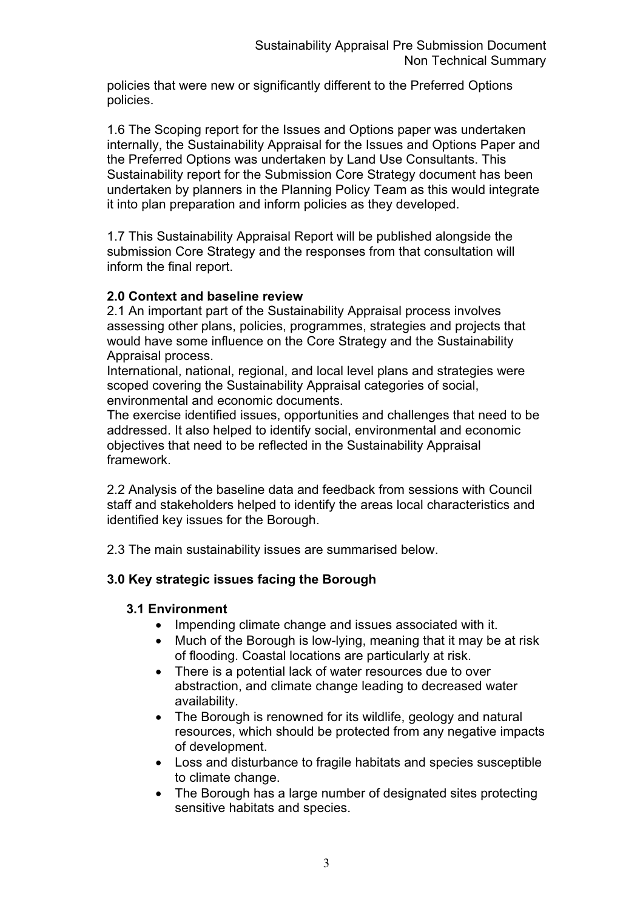policies that were new or significantly different to the Preferred Options policies.

1.6 The Scoping report for the Issues and Options paper was undertaken internally, the Sustainability Appraisal for the Issues and Options Paper and the Preferred Options was undertaken by Land Use Consultants. This Sustainability report for the Submission Core Strategy document has been undertaken by planners in the Planning Policy Team as this would integrate it into plan preparation and inform policies as they developed.

1.7 This Sustainability Appraisal Report will be published alongside the submission Core Strategy and the responses from that consultation will inform the final report.

### **2.0 Context and baseline review**

2.1 An important part of the Sustainability Appraisal process involves assessing other plans, policies, programmes, strategies and projects that would have some influence on the Core Strategy and the Sustainability Appraisal process.

International, national, regional, and local level plans and strategies were scoped covering the Sustainability Appraisal categories of social, environmental and economic documents.

The exercise identified issues, opportunities and challenges that need to be addressed. It also helped to identify social, environmental and economic objectives that need to be reflected in the Sustainability Appraisal framework.

2.2 Analysis of the baseline data and feedback from sessions with Council staff and stakeholders helped to identify the areas local characteristics and identified key issues for the Borough.

2.3 The main sustainability issues are summarised below.

# **3.0 Key strategic issues facing the Borough**

### **3.1 Environment**

- Impending climate change and issues associated with it.
- $\bullet$  Much of the Borough is low-lying, meaning that it may be at risk of flooding. Coastal locations are particularly at risk.
- There is a potential lack of water resources due to over abstraction, and climate change leading to decreased water availability.
- The Borough is renowned for its wildlife, geology and natural resources, which should be protected from any negative impacts of development.
- Loss and disturbance to fragile habitats and species susceptible to climate change.
- The Borough has a large number of designated sites protecting sensitive habitats and species.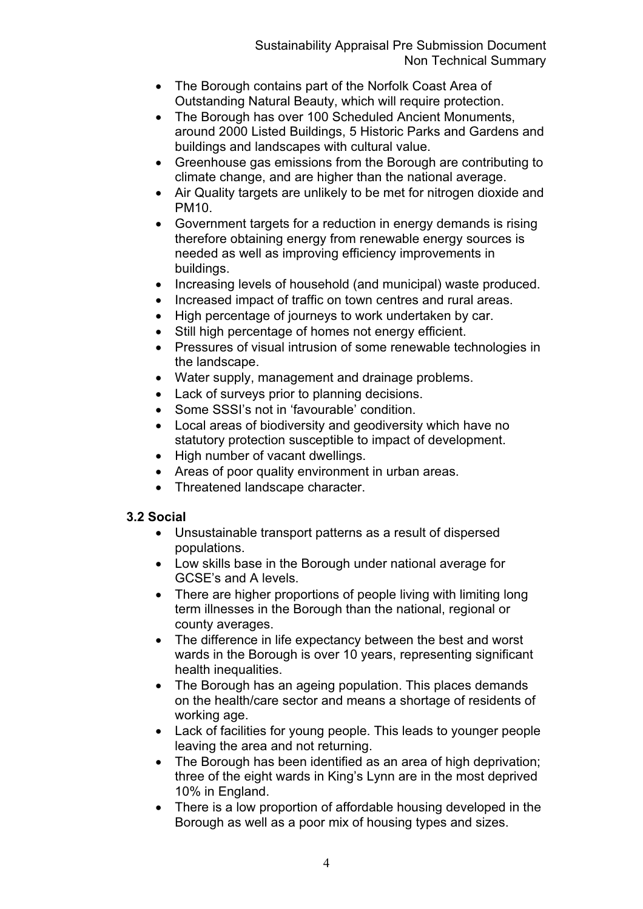- The Borough contains part of the Norfolk Coast Area of Outstanding Natural Beauty, which will require protection.
- The Borough has over 100 Scheduled Ancient Monuments, around 2000 Listed Buildings, 5 Historic Parks and Gardens and buildings and landscapes with cultural value.
- Greenhouse gas emissions from the Borough are contributing to climate change, and are higher than the national average.
- Air Quality targets are unlikely to be met for nitrogen dioxide and PM10.
- Government targets for a reduction in energy demands is rising therefore obtaining energy from renewable energy sources is needed as well as improving efficiency improvements in buildings.
- Increasing levels of household (and municipal) waste produced.
- Increased impact of traffic on town centres and rural areas.
- High percentage of journeys to work undertaken by car.
- Still high percentage of homes not energy efficient.
- Pressures of visual intrusion of some renewable technologies in the landscape.
- Water supply, management and drainage problems.
- Lack of surveys prior to planning decisions.
- Some SSSI's not in 'favourable' condition.
- Local areas of biodiversity and geodiversity which have no statutory protection susceptible to impact of development.
- High number of vacant dwellings.
- Areas of poor quality environment in urban areas.
- Threatened landscape character.

# **3.2 Social**

- Unsustainable transport patterns as a result of dispersed populations.
- Low skills base in the Borough under national average for GCSE's and A levels.
- There are higher proportions of people living with limiting long term illnesses in the Borough than the national, regional or county averages.
- The difference in life expectancy between the best and worst wards in the Borough is over 10 years, representing significant health inequalities.
- The Borough has an ageing population. This places demands on the health/care sector and means a shortage of residents of working age.
- Lack of facilities for young people. This leads to younger people leaving the area and not returning.
- The Borough has been identified as an area of high deprivation; three of the eight wards in King's Lynn are in the most deprived 10% in England.
- There is a low proportion of affordable housing developed in the Borough as well as a poor mix of housing types and sizes.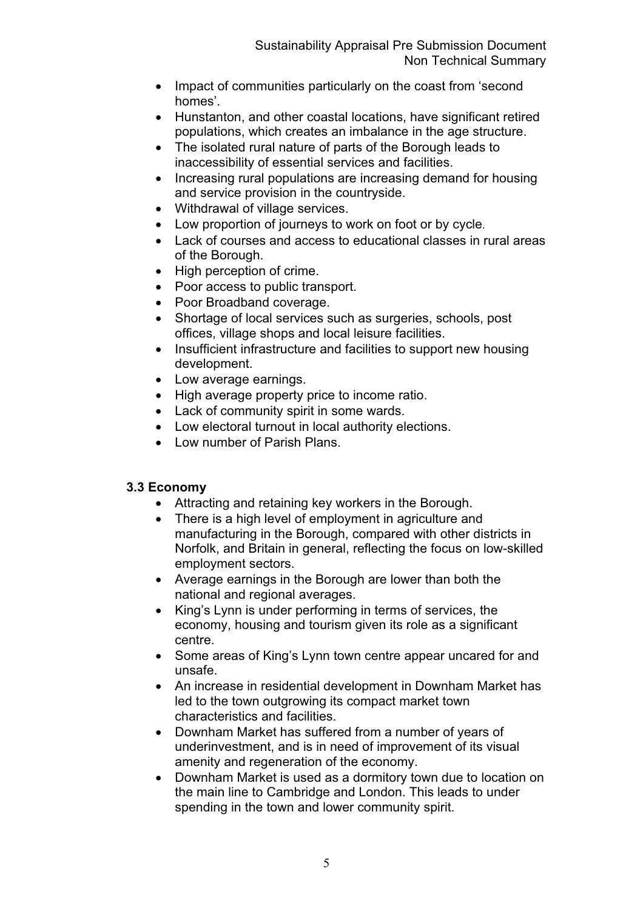- Impact of communities particularly on the coast from 'second homes'.
- Hunstanton, and other coastal locations, have significant retired populations, which creates an imbalance in the age structure.
- The isolated rural nature of parts of the Borough leads to inaccessibility of essential services and facilities.
- Increasing rural populations are increasing demand for housing and service provision in the countryside.
- Withdrawal of village services.
- Low proportion of journeys to work on foot or by cycle.
- Lack of courses and access to educational classes in rural areas of the Borough.
- High perception of crime.
- Poor access to public transport.
- Poor Broadband coverage.
- Shortage of local services such as surgeries, schools, post offices, village shops and local leisure facilities.
- Insufficient infrastructure and facilities to support new housing development.
- Low average earnings.
- High average property price to income ratio.
- Lack of community spirit in some wards.
- Low electoral turnout in local authority elections.
- Low number of Parish Plans.

# **3.3 Economy**

- Attracting and retaining key workers in the Borough.
- There is a high level of employment in agriculture and manufacturing in the Borough, compared with other districts in Norfolk, and Britain in general, reflecting the focus on low-skilled employment sectors.
- Average earnings in the Borough are lower than both the national and regional averages.
- King's Lynn is under performing in terms of services, the economy, housing and tourism given its role as a significant centre.
- Some areas of King's Lynn town centre appear uncared for and unsafe.
- An increase in residential development in Downham Market has led to the town outgrowing its compact market town characteristics and facilities.
- Downham Market has suffered from a number of years of underinvestment, and is in need of improvement of its visual amenity and regeneration of the economy.
- Downham Market is used as a dormitory town due to location on the main line to Cambridge and London. This leads to under spending in the town and lower community spirit.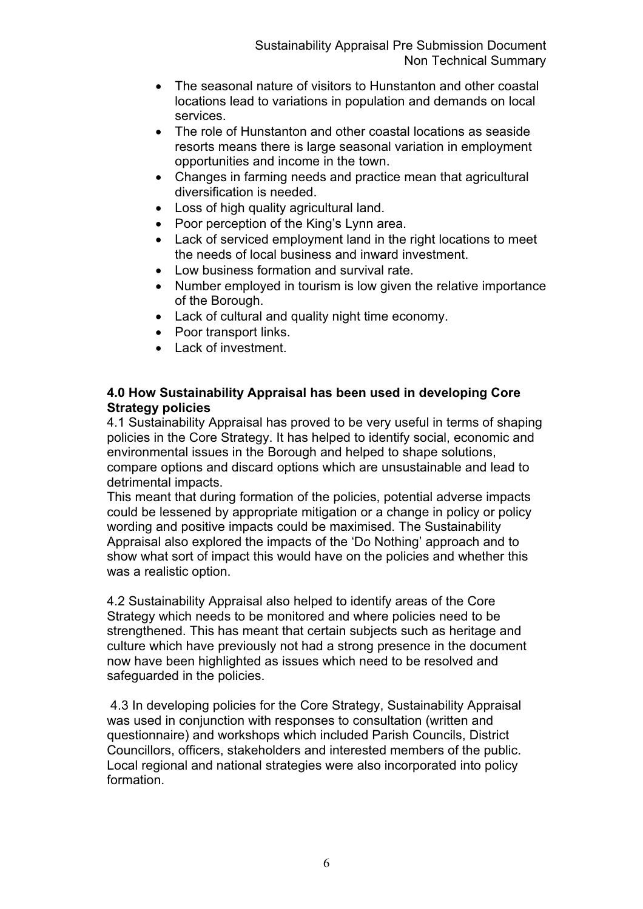- The seasonal nature of visitors to Hunstanton and other coastal locations lead to variations in population and demands on local services.
- The role of Hunstanton and other coastal locations as seaside resorts means there is large seasonal variation in employment opportunities and income in the town.
- Changes in farming needs and practice mean that agricultural diversification is needed.
- Loss of high quality agricultural land.
- Poor perception of the King's Lynn area.
- Lack of serviced employment land in the right locations to meet the needs of local business and inward investment.
- $\bullet$  Low business formation and survival rate.
- Number employed in tourism is low given the relative importance of the Borough.
- Lack of cultural and quality night time economy.
- Poor transport links.
- Lack of investment.

### **4.0 How Sustainability Appraisal has been used in developing Core Strategy policies**

4.1 Sustainability Appraisal has proved to be very useful in terms of shaping policies in the Core Strategy. It has helped to identify social, economic and environmental issues in the Borough and helped to shape solutions, compare options and discard options which are unsustainable and lead to detrimental impacts.

This meant that during formation of the policies, potential adverse impacts could be lessened by appropriate mitigation or a change in policy or policy wording and positive impacts could be maximised. The Sustainability Appraisal also explored the impacts of the 'Do Nothing' approach and to show what sort of impact this would have on the policies and whether this was a realistic option.

4.2 Sustainability Appraisal also helped to identify areas of the Core Strategy which needs to be monitored and where policies need to be strengthened. This has meant that certain subjects such as heritage and culture which have previously not had a strong presence in the document now have been highlighted as issues which need to be resolved and safeguarded in the policies.

 4.3 In developing policies for the Core Strategy, Sustainability Appraisal was used in conjunction with responses to consultation (written and questionnaire) and workshops which included Parish Councils, District Councillors, officers, stakeholders and interested members of the public. Local regional and national strategies were also incorporated into policy formation.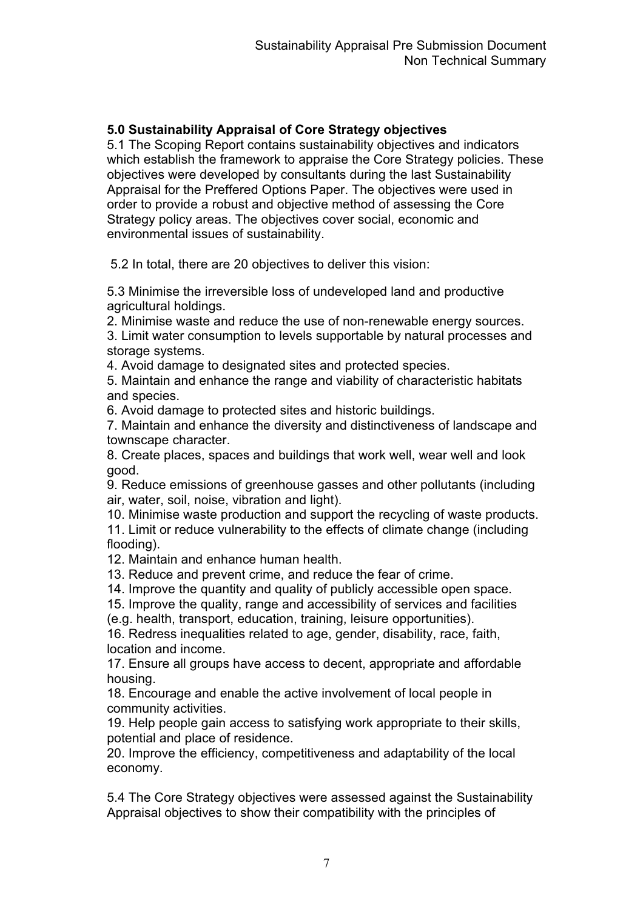# **5.0 Sustainability Appraisal of Core Strategy objectives**

5.1 The Scoping Report contains sustainability objectives and indicators which establish the framework to appraise the Core Strategy policies. These objectives were developed by consultants during the last Sustainability Appraisal for the Preffered Options Paper. The objectives were used in order to provide a robust and objective method of assessing the Core Strategy policy areas. The objectives cover social, economic and environmental issues of sustainability.

5.2 In total, there are 20 objectives to deliver this vision:

5.3 Minimise the irreversible loss of undeveloped land and productive agricultural holdings.

2. Minimise waste and reduce the use of non-renewable energy sources.

3. Limit water consumption to levels supportable by natural processes and storage systems.

4. Avoid damage to designated sites and protected species.

5. Maintain and enhance the range and viability of characteristic habitats and species.

6. Avoid damage to protected sites and historic buildings.

7. Maintain and enhance the diversity and distinctiveness of landscape and townscape character.

8. Create places, spaces and buildings that work well, wear well and look good.

9. Reduce emissions of greenhouse gasses and other pollutants (including air, water, soil, noise, vibration and light).

10. Minimise waste production and support the recycling of waste products. 11. Limit or reduce vulnerability to the effects of climate change (including flooding).

12. Maintain and enhance human health.

13. Reduce and prevent crime, and reduce the fear of crime.

14. Improve the quantity and quality of publicly accessible open space.

15. Improve the quality, range and accessibility of services and facilities

(e.g. health, transport, education, training, leisure opportunities).

16. Redress inequalities related to age, gender, disability, race, faith, location and income.

17. Ensure all groups have access to decent, appropriate and affordable housing.

18. Encourage and enable the active involvement of local people in community activities.

19. Help people gain access to satisfying work appropriate to their skills, potential and place of residence.

20. Improve the efficiency, competitiveness and adaptability of the local economy.

5.4 The Core Strategy objectives were assessed against the Sustainability Appraisal objectives to show their compatibility with the principles of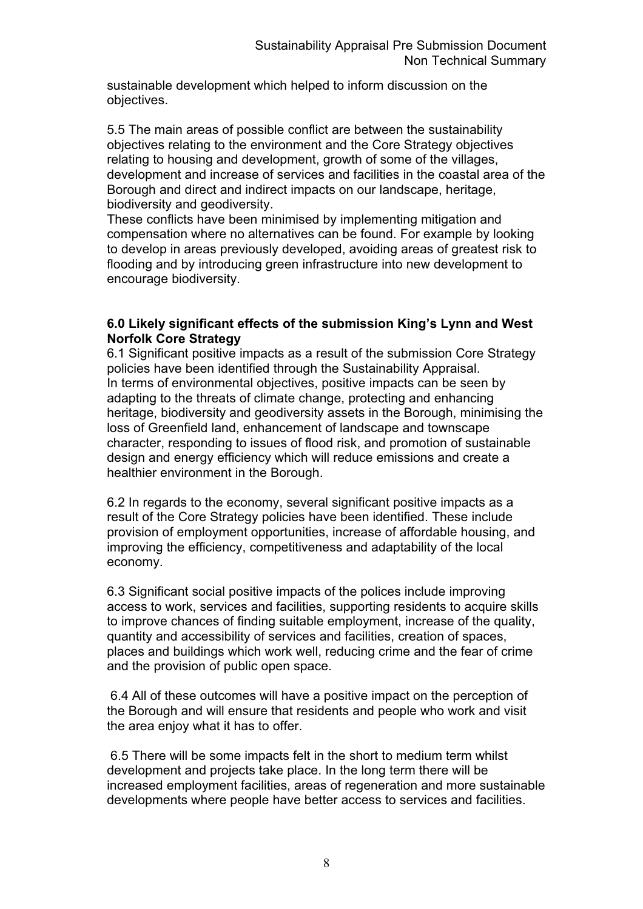sustainable development which helped to inform discussion on the objectives.

5.5 The main areas of possible conflict are between the sustainability objectives relating to the environment and the Core Strategy objectives relating to housing and development, growth of some of the villages, development and increase of services and facilities in the coastal area of the Borough and direct and indirect impacts on our landscape, heritage, biodiversity and geodiversity.

These conflicts have been minimised by implementing mitigation and compensation where no alternatives can be found. For example by looking to develop in areas previously developed, avoiding areas of greatest risk to flooding and by introducing green infrastructure into new development to encourage biodiversity.

### **6.0 Likely significant effects of the submission King's Lynn and West Norfolk Core Strategy**

6.1 Significant positive impacts as a result of the submission Core Strategy policies have been identified through the Sustainability Appraisal. In terms of environmental objectives, positive impacts can be seen by adapting to the threats of climate change, protecting and enhancing heritage, biodiversity and geodiversity assets in the Borough, minimising the loss of Greenfield land, enhancement of landscape and townscape character, responding to issues of flood risk, and promotion of sustainable design and energy efficiency which will reduce emissions and create a healthier environment in the Borough.

6.2 In regards to the economy, several significant positive impacts as a result of the Core Strategy policies have been identified. These include provision of employment opportunities, increase of affordable housing, and improving the efficiency, competitiveness and adaptability of the local economy.

6.3 Significant social positive impacts of the polices include improving access to work, services and facilities, supporting residents to acquire skills to improve chances of finding suitable employment, increase of the quality, quantity and accessibility of services and facilities, creation of spaces, places and buildings which work well, reducing crime and the fear of crime and the provision of public open space.

6.4 All of these outcomes will have a positive impact on the perception of the Borough and will ensure that residents and people who work and visit the area enjoy what it has to offer.

 6.5 There will be some impacts felt in the short to medium term whilst development and projects take place. In the long term there will be increased employment facilities, areas of regeneration and more sustainable developments where people have better access to services and facilities.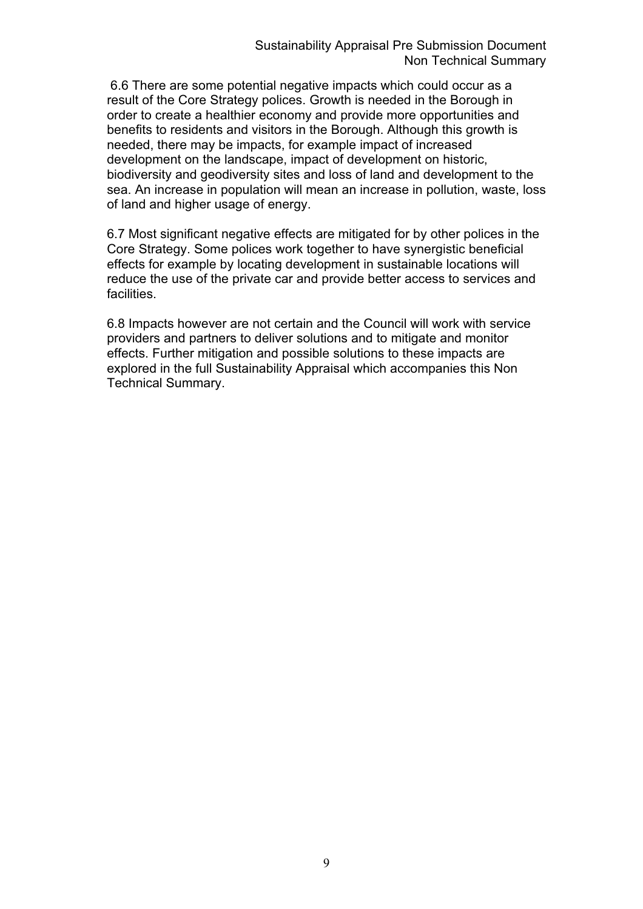6.6 There are some potential negative impacts which could occur as a result of the Core Strategy polices. Growth is needed in the Borough in order to create a healthier economy and provide more opportunities and benefits to residents and visitors in the Borough. Although this growth is needed, there may be impacts, for example impact of increased development on the landscape, impact of development on historic, biodiversity and geodiversity sites and loss of land and development to the sea. An increase in population will mean an increase in pollution, waste, loss of land and higher usage of energy.

6.7 Most significant negative effects are mitigated for by other polices in the Core Strategy. Some polices work together to have synergistic beneficial effects for example by locating development in sustainable locations will reduce the use of the private car and provide better access to services and facilities.

6.8 Impacts however are not certain and the Council will work with service providers and partners to deliver solutions and to mitigate and monitor effects. Further mitigation and possible solutions to these impacts are explored in the full Sustainability Appraisal which accompanies this Non Technical Summary.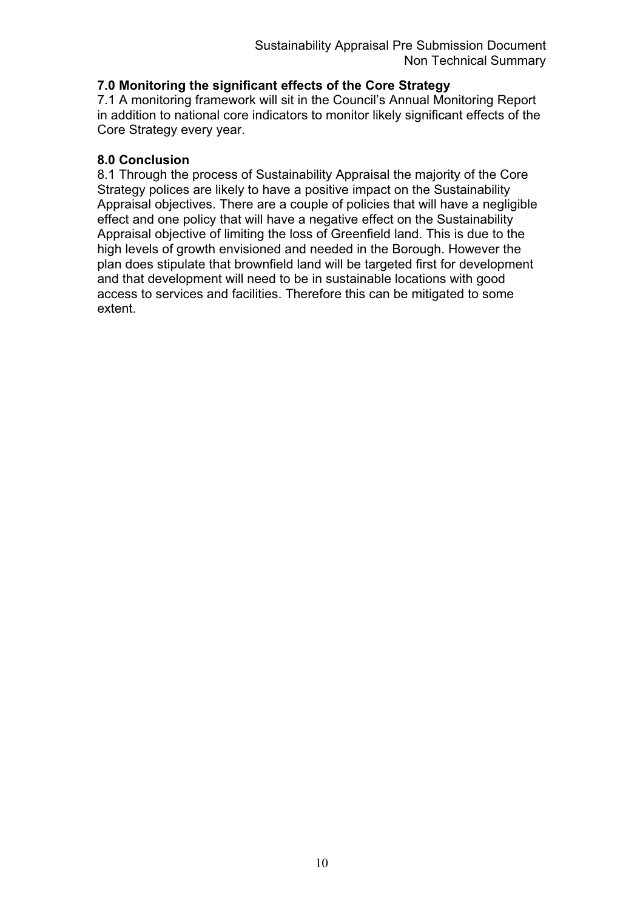# **7.0 Monitoring the significant effects of the Core Strategy**

7.1 A monitoring framework will sit in the Council's Annual Monitoring Report in addition to national core indicators to monitor likely significant effects of the Core Strategy every year.

### **8.0 Conclusion**

8.1 Through the process of Sustainability Appraisal the majority of the Core Strategy polices are likely to have a positive impact on the Sustainability Appraisal objectives. There are a couple of policies that will have a negligible effect and one policy that will have a negative effect on the Sustainability Appraisal objective of limiting the loss of Greenfield land. This is due to the high levels of growth envisioned and needed in the Borough. However the plan does stipulate that brownfield land will be targeted first for development and that development will need to be in sustainable locations with good access to services and facilities. Therefore this can be mitigated to some extent.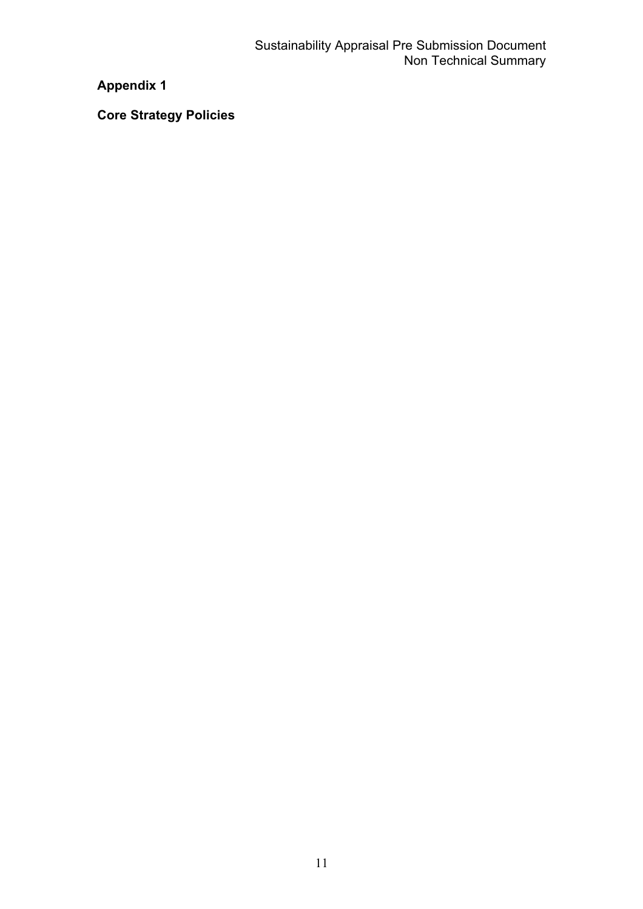# **Appendix 1**

**Core Strategy Policies**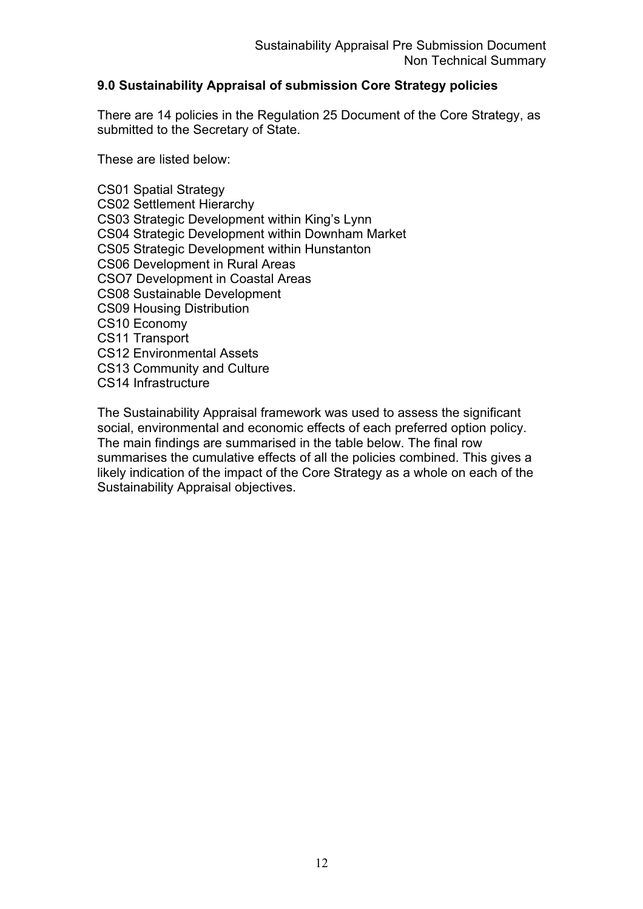### **9.0 Sustainability Appraisal of submission Core Strategy policies**

There are 14 policies in the Regulation 25 Document of the Core Strategy, as submitted to the Secretary of State.

These are listed below:

CS01 Spatial Strategy CS02 Settlement Hierarchy CS03 Strategic Development within King's Lynn CS04 Strategic Development within Downham Market CS05 Strategic Development within Hunstanton CS06 Development in Rural Areas CSO7 Development in Coastal Areas CS08 Sustainable Development CS09 Housing Distribution CS10 Economy CS11 Transport CS12 Environmental Assets CS13 Community and Culture CS14 Infrastructure

The Sustainability Appraisal framework was used to assess the significant social, environmental and economic effects of each preferred option policy. The main findings are summarised in the table below. The final row summarises the cumulative effects of all the policies combined. This gives a likely indication of the impact of the Core Strategy as a whole on each of the Sustainability Appraisal objectives.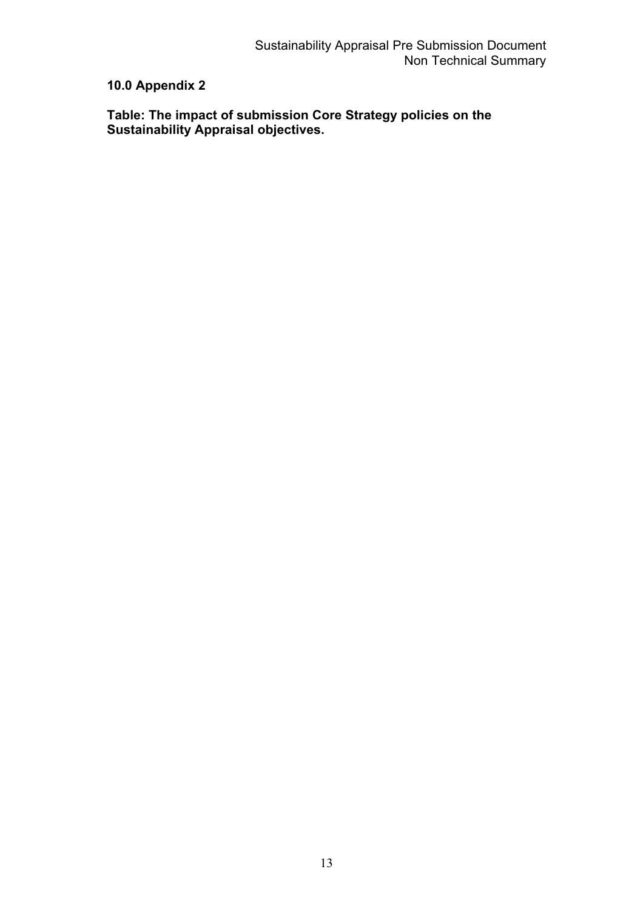# **10.0 Appendix 2**

**Table: The impact of submission Core Strategy policies on the Sustainability Appraisal objectives.**